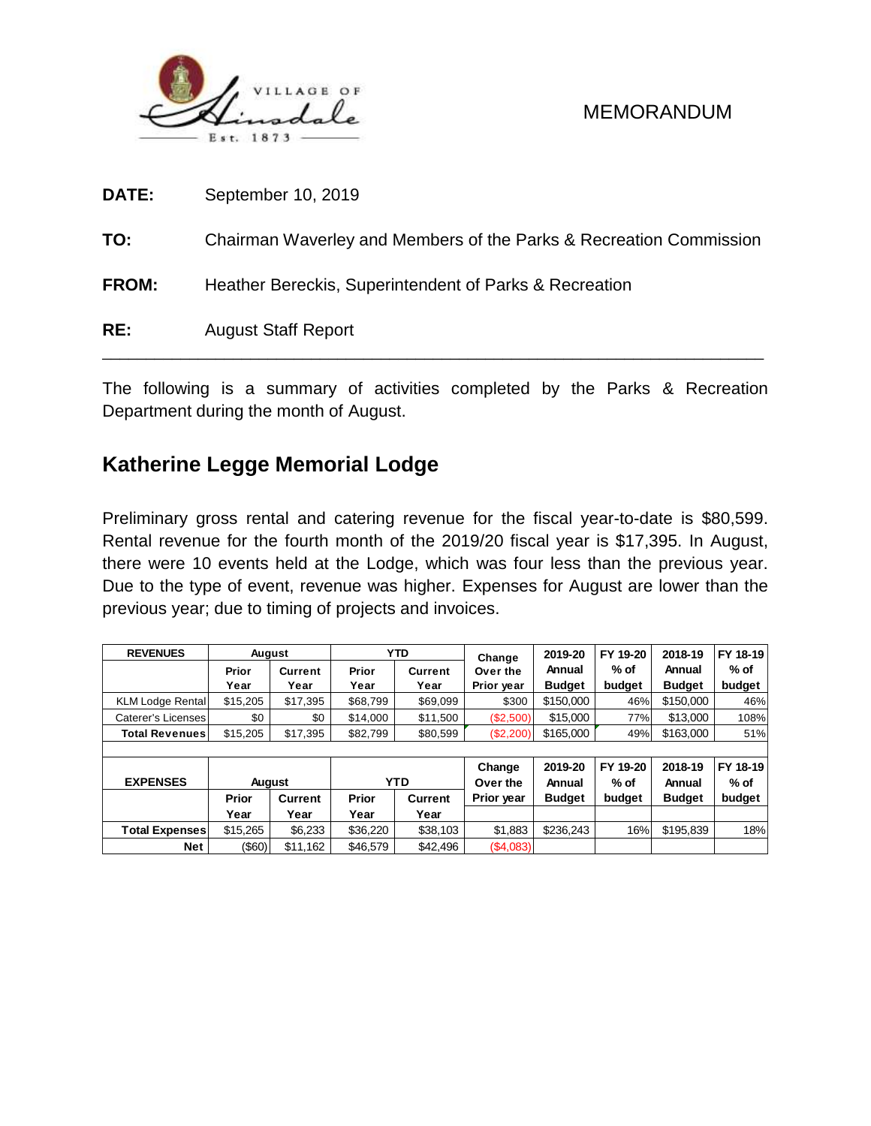

| RE:          | <b>August Staff Report</b>                                         |
|--------------|--------------------------------------------------------------------|
| <b>FROM:</b> | Heather Bereckis, Superintendent of Parks & Recreation             |
| TO:          | Chairman Waverley and Members of the Parks & Recreation Commission |
| DATE:        | September 10, 2019                                                 |

The following is a summary of activities completed by the Parks & Recreation Department during the month of August.

# **Katherine Legge Memorial Lodge**

Preliminary gross rental and catering revenue for the fiscal year-to-date is \$80,599. Rental revenue for the fourth month of the 2019/20 fiscal year is \$17,395. In August, there were 10 events held at the Lodge, which was four less than the previous year. Due to the type of event, revenue was higher. Expenses for August are lower than the previous year; due to timing of projects and invoices.

| <b>REVENUES</b>                     | August                  |                      |                         | <b>YTD</b>     | Change     | 2019-20       | FY 19-20 | 2018-19       | FY 18-19 |  |
|-------------------------------------|-------------------------|----------------------|-------------------------|----------------|------------|---------------|----------|---------------|----------|--|
|                                     | Prior<br><b>Current</b> |                      | Prior<br><b>Current</b> |                | Over the   | Annual        | $%$ of   | Annual        | $%$ of   |  |
|                                     | Year                    | Year                 | Year                    | Year           | Prior year | <b>Budget</b> | budget   | <b>Budget</b> | budget   |  |
| <b>KLM Lodge Rental</b>             | \$15,205                | \$17.395             | \$68,799                | \$69.099       | \$300      | \$150,000     | 46%      | \$150,000     | 46%      |  |
| Caterer's Licenses                  | \$0                     | \$0                  | \$14,000                | \$11,500       | (\$2,500)  | \$15,000      | 77%      | \$13,000      | 108%     |  |
| <b>Total Revenues</b>               | \$15,205                | \$17,395<br>\$82,799 |                         | \$80,599       | (\$2,200)  | \$165,000     | 49%      | \$163,000     | 51%      |  |
|                                     |                         |                      |                         |                |            |               |          |               |          |  |
|                                     |                         |                      |                         |                | Change     | 2019-20       | FY 19-20 | 2018-19       | FY 18-19 |  |
| <b>EXPENSES</b>                     | <b>August</b>           |                      |                         | <b>YTD</b>     | Over the   | Annual        | $%$ of   | Annual        | $%$ of   |  |
|                                     | Prior                   | Current              | <b>Prior</b>            | <b>Current</b> | Prior year | <b>Budget</b> | budget   | <b>Budget</b> | budget   |  |
|                                     | Year                    | Year                 | Year                    | Year           |            |               |          |               |          |  |
| <b>Total Expenses</b>               | \$15.265                | \$6,233              | \$36,220                | \$38,103       | \$1,883    | \$236.243     | 16%      | \$195,839     | 18%      |  |
| $($ \$60)<br><b>Net</b><br>\$11.162 |                         | \$46,579             | \$42,496                | (\$4,083)      |            |               |          |               |          |  |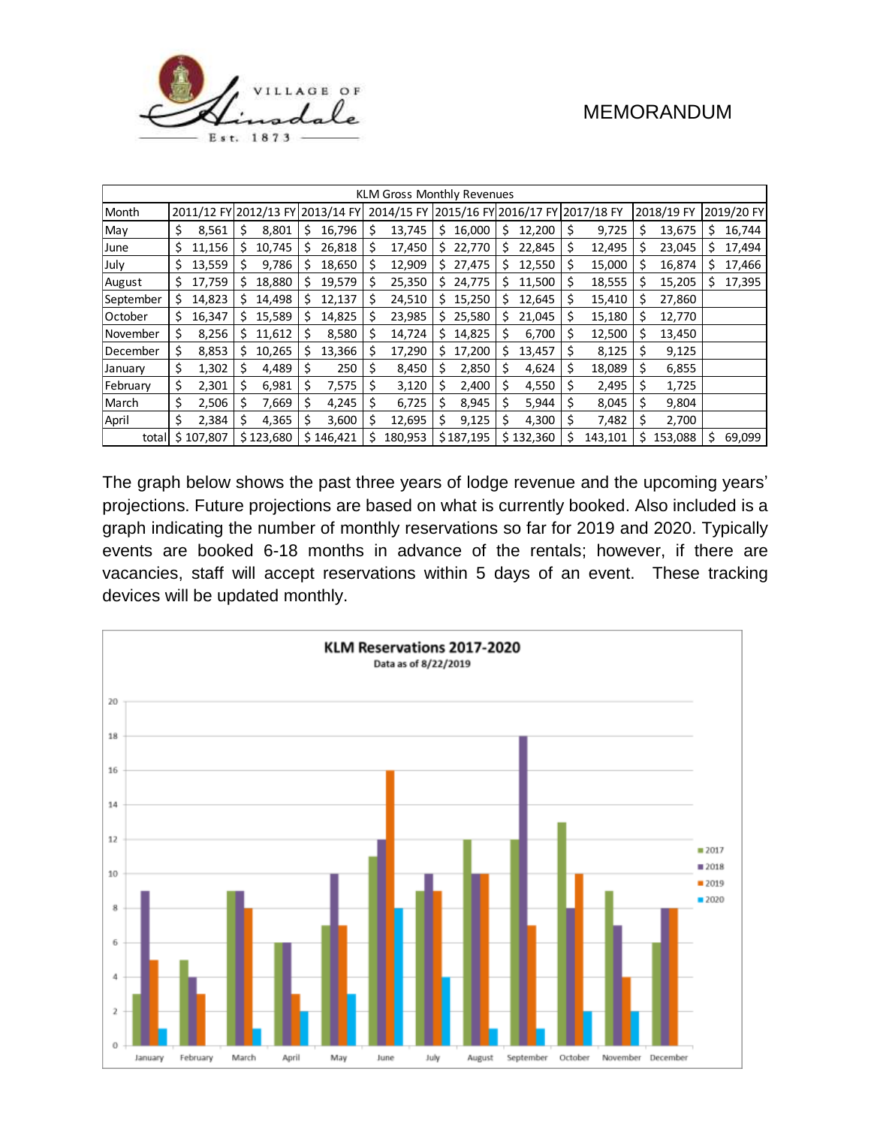

|           | KLM Gross Monthly Revenues |           |     |                                  |    |           |    |                                             |     |           |    |           |    |         |     |            |    |            |
|-----------|----------------------------|-----------|-----|----------------------------------|----|-----------|----|---------------------------------------------|-----|-----------|----|-----------|----|---------|-----|------------|----|------------|
| Month     |                            |           |     | 2011/12 FY 2012/13 FY 2013/14 FY |    |           |    | 2014/15 FY 2015/16 FY 2016/17 FY 2017/18 FY |     |           |    |           |    |         |     | 2018/19 FY |    | 2019/20 FY |
| May       | \$                         | 8,561     | \$  | 8,801                            | S  | 16,796    | \$ | 13,745                                      | S   | 16,000    | \$ | 12,200    | \$ | 9,725   | \$  | 13,675     | \$ | 16,744     |
| June      | \$                         | 11,156    | S   | 10,745                           | s  | 26,818    | \$ | 17,450                                      |     | \$22,770  | \$ | 22,845    | \$ | 12,495  | \$. | 23,045     | Ś. | 17,494     |
| July      | \$                         | 13,559    | \$  | 9,786                            | s  | 18,650    | \$ | 12,909                                      |     | \$27,475  | s  | 12,550    | \$ | 15,000  | S   | 16,874     | s  | 17,466     |
| August    | \$                         | 17,759    | s   | 18,880                           | s  | 19,579    | \$ | 25,350                                      | \$. | 24,775    | S  | 11,500    | \$ | 18,555  | \$  | 15,205     | Ś  | 17,395     |
| September | \$                         | 14,823    | s   | 14,498                           | s  | 12,137    | \$ | 24,510                                      | S.  | 15,250    | S  | 12,645    | \$ | 15,410  | -S  | 27,860     |    |            |
| October   | \$                         | 16,347    | \$. | 15,589                           | S. | 14,825    | \$ | 23,985                                      |     | \$25,580  | \$ | 21,045    | \$ | 15,180  | -\$ | 12,770     |    |            |
| November  | \$                         | 8,256     | s   | 11,612                           |    | 8,580     | \$ | 14,724                                      | s   | 14,825    | S  | 6,700     | \$ | 12,500  | \$  | 13,450     |    |            |
| December  | \$                         | 8,853     | S   | 10,265                           | S  | 13,366    |    | 17,290                                      | S.  | 17,200    | \$ | 13,457    | \$ | 8,125   | -S  | 9,125      |    |            |
| January   | \$                         | 1,302     | Ş   | 4,489                            | S  | 250       | S  | 8,450                                       | S   | 2,850     | S  | 4,624     | \$ | 18,089  | Ŝ   | 6,855      |    |            |
| February  | \$                         | 2,301     | \$  | 6,981                            | S  | 7,575     | S  | 3,120                                       | \$  | 2,400     | Ś  | 4,550     | \$ | 2,495   | S   | 1,725      |    |            |
| March     | \$                         | 2,506     | \$  | 7,669                            | S  | 4,245     | S  | 6,725                                       | S   | 8,945     | Ś  | 5,944     | \$ | 8,045   | S   | 9,804      |    |            |
| April     | \$                         | 2,384     | \$  | 4,365                            | S  | 3,600     | \$ | 12,695                                      | \$  | 9,125     | Ś  | 4,300     | \$ | 7,482   | -S  | 2,700      |    |            |
| total     |                            | \$107,807 |     | \$123,680                        |    | \$146,421 | Ś  | 180,953                                     |     | \$187,195 |    | \$132,360 | \$ | 143,101 | Ś   | 153,088    | Ś. | 69,099     |

The graph below shows the past three years of lodge revenue and the upcoming years' projections. Future projections are based on what is currently booked. Also included is a graph indicating the number of monthly reservations so far for 2019 and 2020. Typically events are booked 6-18 months in advance of the rentals; however, if there are vacancies, staff will accept reservations within 5 days of an event. These tracking devices will be updated monthly.

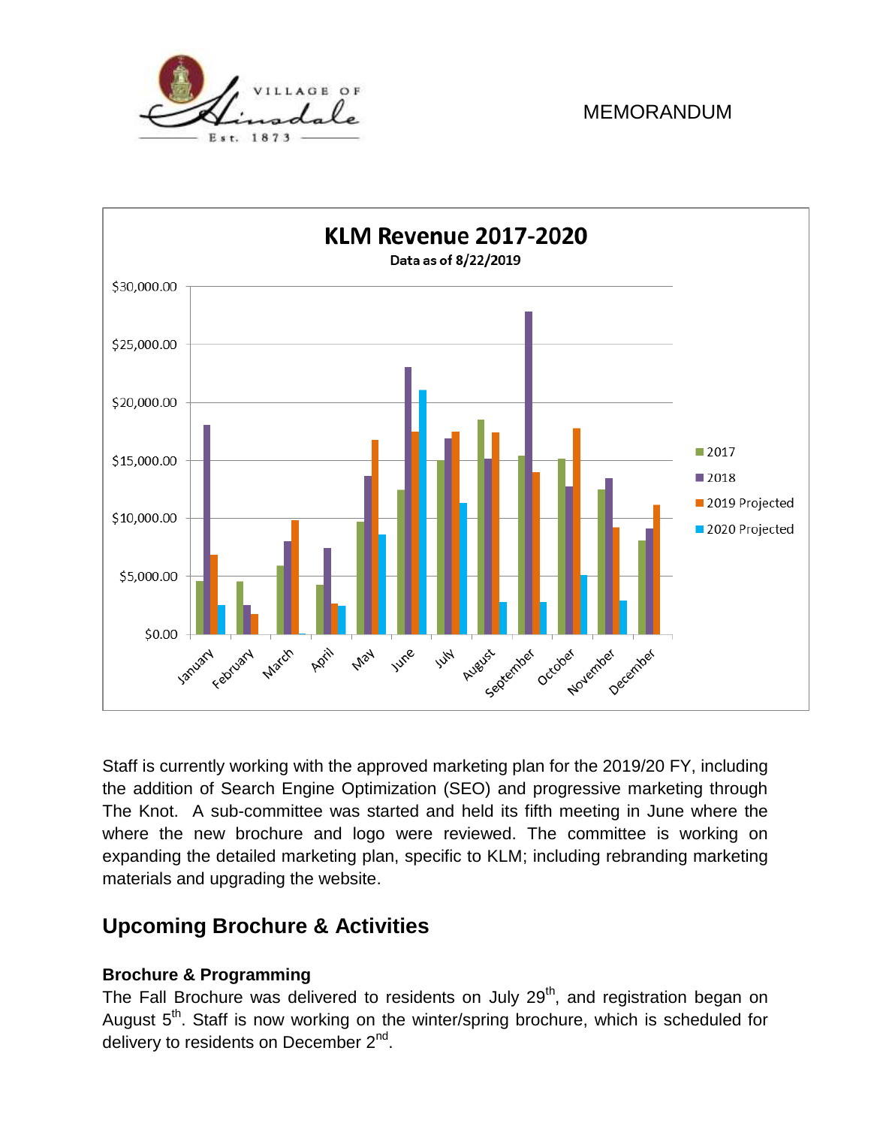



Staff is currently working with the approved marketing plan for the 2019/20 FY, including the addition of Search Engine Optimization (SEO) and progressive marketing through The Knot. A sub-committee was started and held its fifth meeting in June where the where the new brochure and logo were reviewed. The committee is working on expanding the detailed marketing plan, specific to KLM; including rebranding marketing materials and upgrading the website.

# **Upcoming Brochure & Activities**

#### **Brochure & Programming**

The Fall Brochure was delivered to residents on July 29<sup>th</sup>, and registration began on August 5<sup>th</sup>. Staff is now working on the winter/spring brochure, which is scheduled for delivery to residents on December 2<sup>nd</sup>.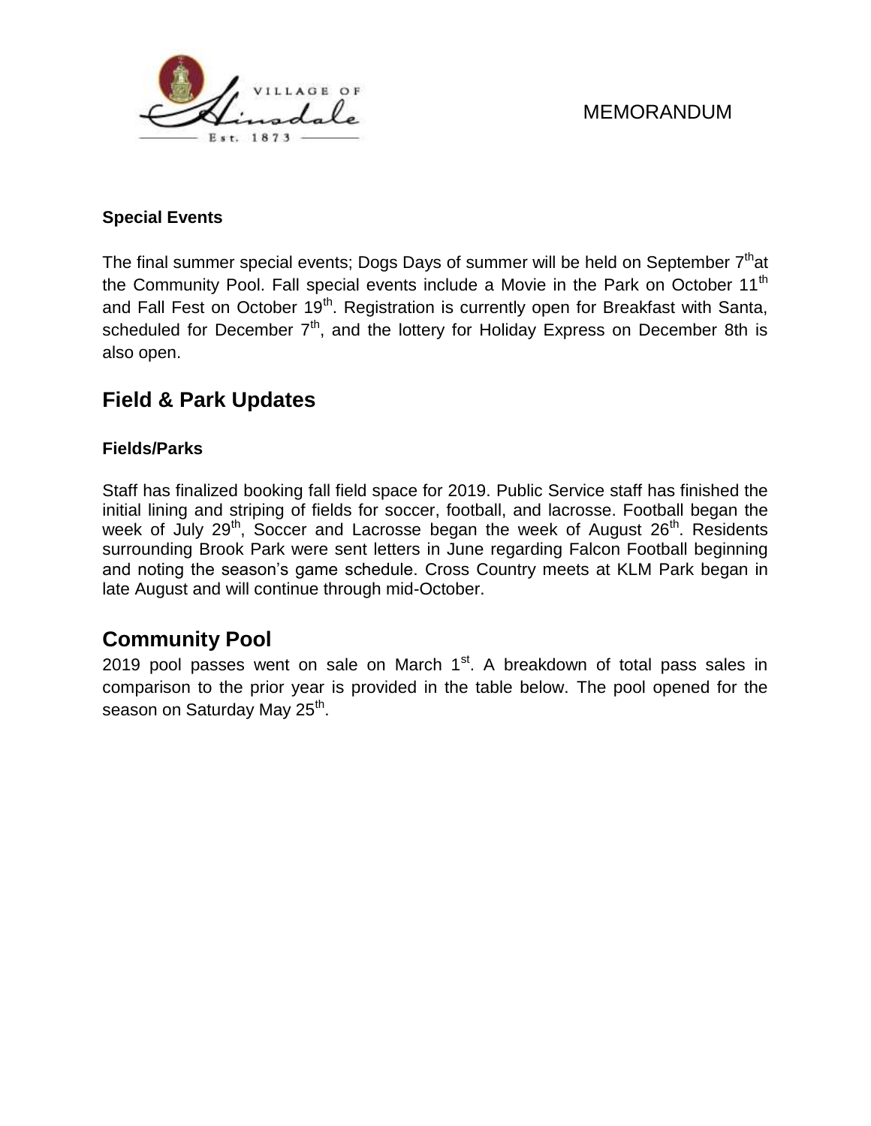

#### **Special Events**

The final summer special events; Dogs Days of summer will be held on September 7<sup>th</sup>at the Community Pool. Fall special events include a Movie in the Park on October 11<sup>th</sup> and Fall Fest on October 19<sup>th</sup>. Registration is currently open for Breakfast with Santa, scheduled for December  $7<sup>th</sup>$ , and the lottery for Holiday Express on December 8th is also open.

## **Field & Park Updates**

#### **Fields/Parks**

Staff has finalized booking fall field space for 2019. Public Service staff has finished the initial lining and striping of fields for soccer, football, and lacrosse. Football began the week of July  $29<sup>th</sup>$ , Soccer and Lacrosse began the week of August  $26<sup>th</sup>$ . Residents surrounding Brook Park were sent letters in June regarding Falcon Football beginning and noting the season's game schedule. Cross Country meets at KLM Park began in late August and will continue through mid-October.

# **Community Pool**

2019 pool passes went on sale on March  $1<sup>st</sup>$ . A breakdown of total pass sales in comparison to the prior year is provided in the table below. The pool opened for the season on Saturday May 25<sup>th</sup>.